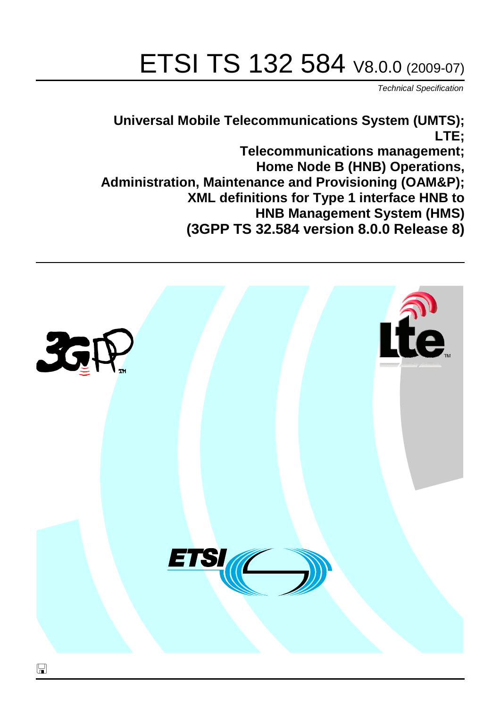# ETSI TS 132 584 V8.0.0 (2009-07)

*Technical Specification*

**Universal Mobile Telecommunications System (UMTS); LTE;**

**Telecommunications management; Home Node B (HNB) Operations, Administration, Maintenance and Provisioning (OAM&P); XML definitions for Type 1 interface HNB to HNB Management System (HMS) (3GPP TS 32.584 version 8.0.0 Release 8)**

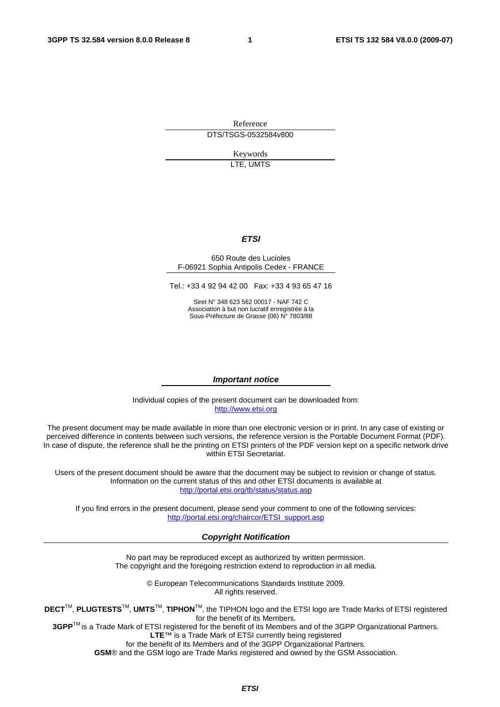Reference DTS/TSGS-0532584v800

> Keywords LTE, UMTS

### *ETSI*

### 650 Route des Lucioles F-06921 Sophia Antipolis Cedex - FRANCE

Tel.: +33 4 92 94 42 00 Fax: +33 4 93 65 47 16

Siret N° 348 623 562 00017 - NAF 742 C Association à but non lucratif enregistrée à la Sous-Préfecture de Grasse (06) N° 7803/88

### *Important notice*

Individual copies of the present document can be downloaded from: [http://www.etsi.org](http://www.etsi.org/)

The present document may be made available in more than one electronic version or in print. In any case of existing or perceived difference in contents between such versions, the reference version is the Portable Document Format (PDF). In case of dispute, the reference shall be the printing on ETSI printers of the PDF version kept on a specific network drive within ETSI Secretariat.

Users of the present document should be aware that the document may be subject to revision or change of status. Information on the current status of this and other ETSI documents is available at <http://portal.etsi.org/tb/status/status.asp>

If you find errors in the present document, please send your comment to one of the following services: [http://portal.etsi.org/chaircor/ETSI\\_support.asp](http://portal.etsi.org/chaircor/ETSI_support.asp)

### *Copyright Notification*

No part may be reproduced except as authorized by written permission. The copyright and the foregoing restriction extend to reproduction in all media.

> © European Telecommunications Standards Institute 2009. All rights reserved.

**DECT**TM, **PLUGTESTS**TM, **UMTS**TM, **TIPHON**TM, the TIPHON logo and the ETSI logo are Trade Marks of ETSI registered for the benefit of its Members.

**3GPP**TM is a Trade Mark of ETSI registered for the benefit of its Members and of the 3GPP Organizational Partners. **LTE**™ is a Trade Mark of ETSI currently being registered

for the benefit of its Members and of the 3GPP Organizational Partners.

**GSM**® and the GSM logo are Trade Marks registered and owned by the GSM Association.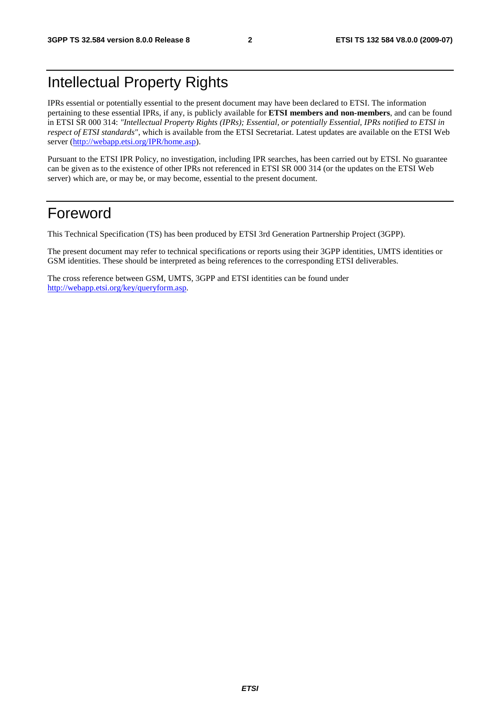## Intellectual Property Rights

IPRs essential or potentially essential to the present document may have been declared to ETSI. The information pertaining to these essential IPRs, if any, is publicly available for **ETSI members and non-members**, and can be found in ETSI SR 000 314: *"Intellectual Property Rights (IPRs); Essential, or potentially Essential, IPRs notified to ETSI in respect of ETSI standards"*, which is available from the ETSI Secretariat. Latest updates are available on the ETSI Web server ([http://webapp.etsi.org/IPR/home.asp\)](http://webapp.etsi.org/IPR/home.asp).

Pursuant to the ETSI IPR Policy, no investigation, including IPR searches, has been carried out by ETSI. No guarantee can be given as to the existence of other IPRs not referenced in ETSI SR 000 314 (or the updates on the ETSI Web server) which are, or may be, or may become, essential to the present document.

### Foreword

This Technical Specification (TS) has been produced by ETSI 3rd Generation Partnership Project (3GPP).

The present document may refer to technical specifications or reports using their 3GPP identities, UMTS identities or GSM identities. These should be interpreted as being references to the corresponding ETSI deliverables.

The cross reference between GSM, UMTS, 3GPP and ETSI identities can be found under [http://webapp.etsi.org/key/queryform.asp.](http://webapp.etsi.org/key/queryform.asp)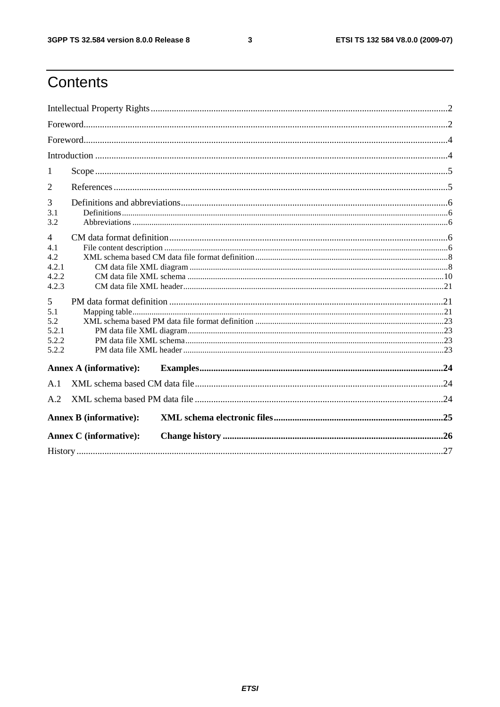$\mathbf{3}$ 

## Contents

| 1                             |
|-------------------------------|
| 2                             |
| 3                             |
| 3.1<br>3.2                    |
| $\overline{4}$                |
| 4.1                           |
| 4.2                           |
| 4.2.1                         |
| 4.2.2                         |
| 4.2.3                         |
| 5                             |
| 5.1                           |
| 5.2                           |
| 5.2.1                         |
| 5.2.2                         |
| 5.2.2                         |
| <b>Annex A (informative):</b> |
| A.1                           |
| A.2                           |
| <b>Annex B (informative):</b> |
| <b>Annex C</b> (informative): |
|                               |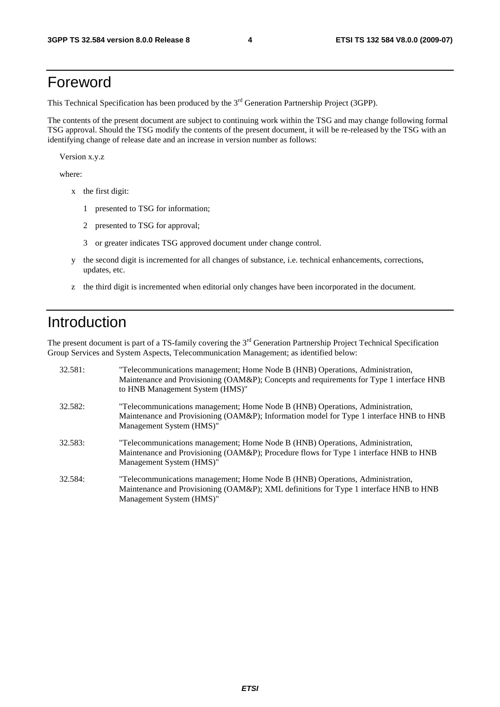### Foreword

This Technical Specification has been produced by the 3<sup>rd</sup> Generation Partnership Project (3GPP).

The contents of the present document are subject to continuing work within the TSG and may change following formal TSG approval. Should the TSG modify the contents of the present document, it will be re-released by the TSG with an identifying change of release date and an increase in version number as follows:

Version x.y.z

where:

- x the first digit:
	- 1 presented to TSG for information;
	- 2 presented to TSG for approval;
	- 3 or greater indicates TSG approved document under change control.
- y the second digit is incremented for all changes of substance, i.e. technical enhancements, corrections, updates, etc.
- z the third digit is incremented when editorial only changes have been incorporated in the document.

### Introduction

The present document is part of a TS-family covering the 3<sup>rd</sup> Generation Partnership Project Technical Specification Group Services and System Aspects, Telecommunication Management; as identified below:

| 32.581: | "Telecommunications management; Home Node B (HNB) Operations, Administration,<br>Maintenance and Provisioning (OAM&P); Concepts and requirements for Type 1 interface HNB<br>to HNB Management System (HMS)" |
|---------|--------------------------------------------------------------------------------------------------------------------------------------------------------------------------------------------------------------|
| 32.582: | "Telecommunications management; Home Node B (HNB) Operations, Administration,<br>Maintenance and Provisioning (OAM&P); Information model for Type 1 interface HNB to HNB<br>Management System (HMS)"         |
| 32.583: | "Telecommunications management; Home Node B (HNB) Operations, Administration,<br>Maintenance and Provisioning (OAM&P); Procedure flows for Type 1 interface HNB to HNB<br>Management System (HMS)"           |
| 32.584: | "Telecommunications management; Home Node B (HNB) Operations, Administration,<br>Maintenance and Provisioning (OAM&P); XML definitions for Type 1 interface HNB to HNB<br>Management System (HMS)"           |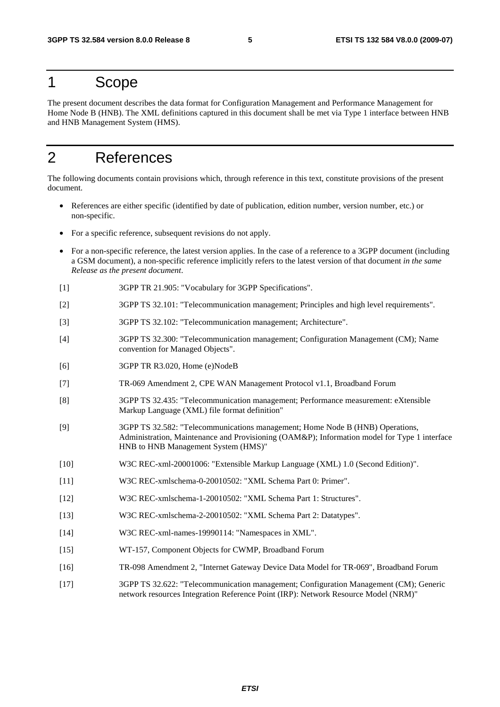### 1 Scope

The present document describes the data format for Configuration Management and Performance Management for Home Node B (HNB). The XML definitions captured in this document shall be met via Type 1 interface between HNB and HNB Management System (HMS).

### 2 References

The following documents contain provisions which, through reference in this text, constitute provisions of the present document.

- References are either specific (identified by date of publication, edition number, version number, etc.) or non-specific.
- For a specific reference, subsequent revisions do not apply.
- For a non-specific reference, the latest version applies. In the case of a reference to a 3GPP document (including a GSM document), a non-specific reference implicitly refers to the latest version of that document *in the same Release as the present document*.
- [1] 3GPP TR 21.905: "Vocabulary for 3GPP Specifications".
- [2] 3GPP TS 32.101: "Telecommunication management; Principles and high level requirements".
- [3] 3GPP TS 32.102: "Telecommunication management; Architecture".
- [4] 3GPP TS 32.300: "Telecommunication management; Configuration Management (CM); Name convention for Managed Objects".
- [6] 3GPP TR R3.020, Home (e)NodeB
- [7] TR-069 Amendment 2, CPE WAN Management Protocol v1.1, Broadband Forum
- [8] 3GPP TS 32.435: "Telecommunication management; Performance measurement: eXtensible Markup Language (XML) file format definition"
- [9] 3GPP TS 32.582: "Telecommunications management; Home Node B (HNB) Operations, Administration, Maintenance and Provisioning (OAM&P); Information model for Type 1 interface HNB to HNB Management System (HMS)"
- [10] W3C REC-xml-20001006: "Extensible Markup Language (XML) 1.0 (Second Edition)".
- [11] W3C REC-xmlschema-0-20010502: "XML Schema Part 0: Primer".
- [12] W3C REC-xmlschema-1-20010502: "XML Schema Part 1: Structures".
- [13] W3C REC-xmlschema-2-20010502: "XML Schema Part 2: Datatypes".
- [14] W3C REC-xml-names-19990114: "Namespaces in XML".
- [15] WT-157, Component Objects for CWMP, Broadband Forum
- [16] TR-098 Amendment 2, "Internet Gateway Device Data Model for TR-069", Broadband Forum
- [17] 3GPP TS 32.622: "Telecommunication management; Configuration Management (CM); Generic network resources Integration Reference Point (IRP): Network Resource Model (NRM)"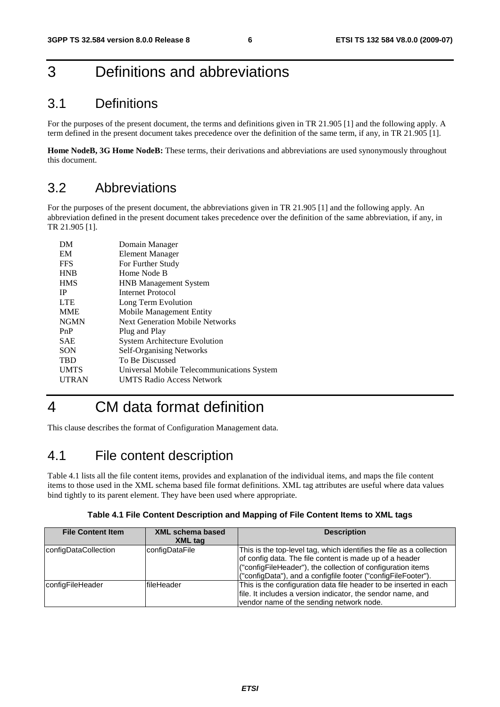## 3 Definitions and abbreviations

### 3.1 Definitions

For the purposes of the present document, the terms and definitions given in TR 21.905 [1] and the following apply. A term defined in the present document takes precedence over the definition of the same term, if any, in TR 21.905 [1].

**Home NodeB, 3G Home NodeB:** These terms, their derivations and abbreviations are used synonymously throughout this document.

### 3.2 Abbreviations

For the purposes of the present document, the abbreviations given in TR 21.905 [1] and the following apply. An abbreviation defined in the present document takes precedence over the definition of the same abbreviation, if any, in TR 21.905 [1].

| DM           | Domain Manager                             |
|--------------|--------------------------------------------|
| EM           | <b>Element Manager</b>                     |
| <b>FFS</b>   | For Further Study                          |
| <b>HNB</b>   | Home Node B                                |
| <b>HMS</b>   | <b>HNB</b> Management System               |
| <b>IP</b>    | Internet Protocol                          |
| <b>LTE</b>   | Long Term Evolution                        |
| <b>MME</b>   | Mobile Management Entity                   |
| <b>NGMN</b>  | <b>Next Generation Mobile Networks</b>     |
| PnP          | Plug and Play                              |
| <b>SAE</b>   | <b>System Architecture Evolution</b>       |
| <b>SON</b>   | <b>Self-Organising Networks</b>            |
| <b>TBD</b>   | To Be Discussed                            |
| <b>UMTS</b>  | Universal Mobile Telecommunications System |
| <b>UTRAN</b> | <b>UMTS Radio Access Network</b>           |
|              |                                            |

## 4 CM data format definition

This clause describes the format of Configuration Management data.

### 4.1 File content description

Table 4.1 lists all the file content items, provides and explanation of the individual items, and maps the file content items to those used in the XML schema based file format definitions. XML tag attributes are useful where data values bind tightly to its parent element. They have been used where appropriate.

| Table 4.1 File Content Description and Mapping of File Content Items to XML tags |  |  |
|----------------------------------------------------------------------------------|--|--|
|                                                                                  |  |  |

| <b>File Content Item</b> | XML schema based<br><b>XML</b> tag | <b>Description</b>                                                                                                                                                                                                                                              |
|--------------------------|------------------------------------|-----------------------------------------------------------------------------------------------------------------------------------------------------------------------------------------------------------------------------------------------------------------|
| configDataCollection     | configDataFile                     | This is the top-level tag, which identifies the file as a collection<br>of config data. The file content is made up of a header<br>("configFileHeader"), the collection of configuration items<br>("configData"), and a configfile footer ("configFileFooter"). |
| configFileHeader         | fileHeader                         | This is the configuration data file header to be inserted in each<br>file. It includes a version indicator, the sendor name, and<br>vendor name of the sending network node.                                                                                    |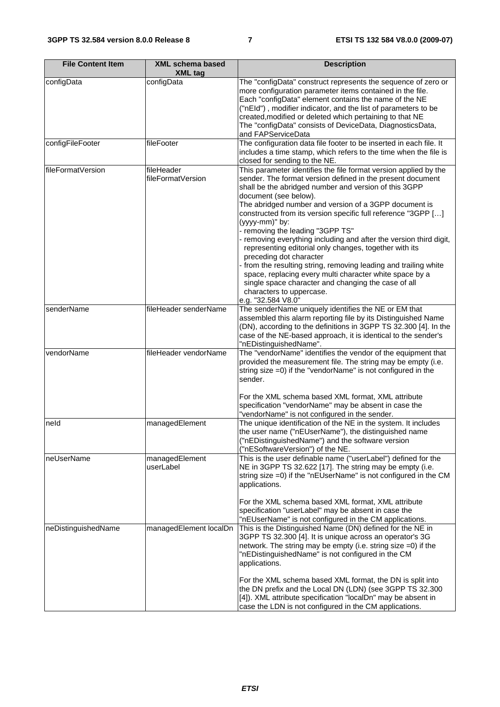| <b>File Content Item</b> | <b>XML schema based</b><br><b>XML tag</b> | <b>Description</b>                                                                                                                                                                                                                                                                                                                                                                                                                                                                                                                                                                                                                                                                                                                                                                              |
|--------------------------|-------------------------------------------|-------------------------------------------------------------------------------------------------------------------------------------------------------------------------------------------------------------------------------------------------------------------------------------------------------------------------------------------------------------------------------------------------------------------------------------------------------------------------------------------------------------------------------------------------------------------------------------------------------------------------------------------------------------------------------------------------------------------------------------------------------------------------------------------------|
| configData               | configData                                | The "configData" construct represents the sequence of zero or<br>more configuration parameter items contained in the file.<br>Each "configData" element contains the name of the NE<br>("nEId"), modifier indicator, and the list of parameters to be<br>created, modified or deleted which pertaining to that NE<br>The "configData" consists of DeviceData, DiagnosticsData,<br>and FAPServiceData                                                                                                                                                                                                                                                                                                                                                                                            |
| configFileFooter         | fileFooter                                | The configuration data file footer to be inserted in each file. It<br>includes a time stamp, which refers to the time when the file is<br>closed for sending to the NE.                                                                                                                                                                                                                                                                                                                                                                                                                                                                                                                                                                                                                         |
| fileFormatVersion        | fileHeader<br>fileFormatVersion           | This parameter identifies the file format version applied by the<br>sender. The format version defined in the present document<br>shall be the abridged number and version of this 3GPP<br>document (see below).<br>The abridged number and version of a 3GPP document is<br>constructed from its version specific full reference "3GPP []<br>(yyyy-mm)" by:<br>- removing the leading "3GPP TS"<br>removing everything including and after the version third digit,<br>representing editorial only changes, together with its<br>preceding dot character<br>from the resulting string, removing leading and trailing white<br>space, replacing every multi character white space by a<br>single space character and changing the case of all<br>characters to uppercase.<br>e.g. "32.584 V8.0" |
| senderName               | fileHeader senderName                     | The senderName uniquely identifies the NE or EM that<br>assembled this alarm reporting file by its Distinguished Name<br>(DN), according to the definitions in 3GPP TS 32.300 [4]. In the<br>case of the NE-based approach, it is identical to the sender's<br>"nEDistinguishedName".                                                                                                                                                                                                                                                                                                                                                                                                                                                                                                           |
| vendorName               | fileHeader vendorName                     | The "vendorName" identifies the vendor of the equipment that<br>provided the measurement file. The string may be empty (i.e.<br>string size =0) if the "vendorName" is not configured in the<br>sender.<br>For the XML schema based XML format, XML attribute<br>specification "vendorName" may be absent in case the<br>"vendorName" is not configured in the sender.                                                                                                                                                                                                                                                                                                                                                                                                                          |
| neld                     | managedElement                            | The unique identification of the NE in the system. It includes<br>the user name ("nEUserName"), the distinguished name<br>("nEDistinguishedName") and the software version<br>("nESoftwareVersion") of the NE.                                                                                                                                                                                                                                                                                                                                                                                                                                                                                                                                                                                  |
| neUserName               | managedElement<br>userLabel               | This is the user definable name ("userLabel") defined for the<br>NE in 3GPP TS 32.622 [17]. The string may be empty (i.e.<br>string size =0) if the "nEUserName" is not configured in the CM<br>applications.<br>For the XML schema based XML format, XML attribute<br>specification "userLabel" may be absent in case the<br>"nEUserName" is not configured in the CM applications.                                                                                                                                                                                                                                                                                                                                                                                                            |
| neDistinguishedName      | managedElement localDn                    | This is the Distinguished Name (DN) defined for the NE in<br>3GPP TS 32.300 [4]. It is unique across an operator's 3G<br>network. The string may be empty (i.e. string size =0) if the<br>"nEDistinguishedName" is not configured in the CM<br>applications.<br>For the XML schema based XML format, the DN is split into<br>the DN prefix and the Local DN (LDN) (see 3GPP TS 32.300<br>[4]). XML attribute specification "localDn" may be absent in<br>case the LDN is not configured in the CM applications.                                                                                                                                                                                                                                                                                 |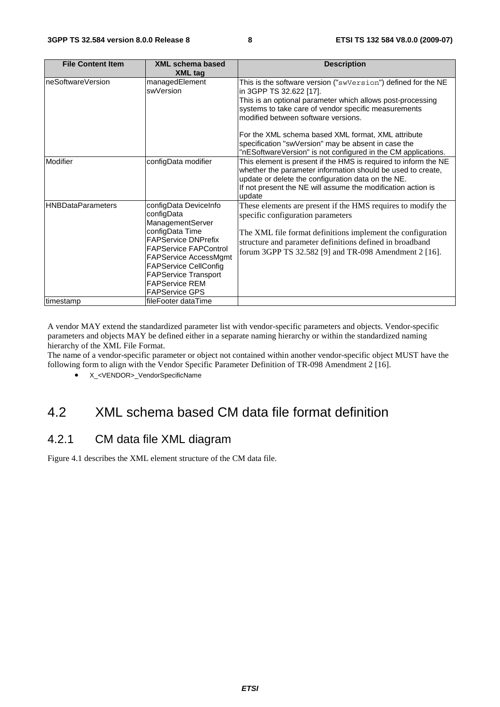| <b>File Content Item</b> | XML schema based                                                                                                                                                                                                                                                                                 | <b>Description</b>                                                                                                                                                                                                                                                                                                                                                                                                                  |
|--------------------------|--------------------------------------------------------------------------------------------------------------------------------------------------------------------------------------------------------------------------------------------------------------------------------------------------|-------------------------------------------------------------------------------------------------------------------------------------------------------------------------------------------------------------------------------------------------------------------------------------------------------------------------------------------------------------------------------------------------------------------------------------|
|                          | <b>XML tag</b>                                                                                                                                                                                                                                                                                   |                                                                                                                                                                                                                                                                                                                                                                                                                                     |
| IneSoftwareVersion       | managedElement<br>swVersion                                                                                                                                                                                                                                                                      | This is the software version ("swVersion") defined for the NE<br>in 3GPP TS 32.622 [17].<br>This is an optional parameter which allows post-processing<br>systems to take care of vendor specific measurements<br>modified between software versions.<br>For the XML schema based XML format, XML attribute<br>specification "swVersion" may be absent in case the<br>"nESoftwareVersion" is not configured in the CM applications. |
| Modifier                 | configData modifier                                                                                                                                                                                                                                                                              | This element is present if the HMS is required to inform the NE<br>whether the parameter information should be used to create,<br>update or delete the configuration data on the NE.<br>If not present the NE will assume the modification action is<br>update                                                                                                                                                                      |
| <b>HNBDataParameters</b> | configData DeviceInfo<br>configData<br><b>ManagementServer</b><br>configData Time<br><b>FAPService DNPrefix</b><br><b>FAPService FAPControl</b><br><b>FAPService AccessMgmt</b><br><b>FAPService CellConfig</b><br><b>FAPService Transport</b><br><b>FAPService REM</b><br><b>FAPService GPS</b> | These elements are present if the HMS requires to modify the<br>specific configuration parameters<br>The XML file format definitions implement the configuration<br>structure and parameter definitions defined in broadband<br>forum 3GPP TS 32.582 [9] and TR-098 Amendment 2 [16].                                                                                                                                               |
| timestamp                | fileFooter dataTime                                                                                                                                                                                                                                                                              |                                                                                                                                                                                                                                                                                                                                                                                                                                     |

A vendor MAY extend the standardized parameter list with vendor-specific parameters and objects. Vendor-specific parameters and objects MAY be defined either in a separate naming hierarchy or within the standardized naming hierarchy of the XML File Format.

The name of a vendor-specific parameter or object not contained within another vendor-specific object MUST have the following form to align with the Vendor Specific Parameter Definition of TR-098 Amendment 2 [16].

• X <VENDOR> VendorSpecificName

### 4.2 XML schema based CM data file format definition

### 4.2.1 CM data file XML diagram

Figure 4.1 describes the XML element structure of the CM data file.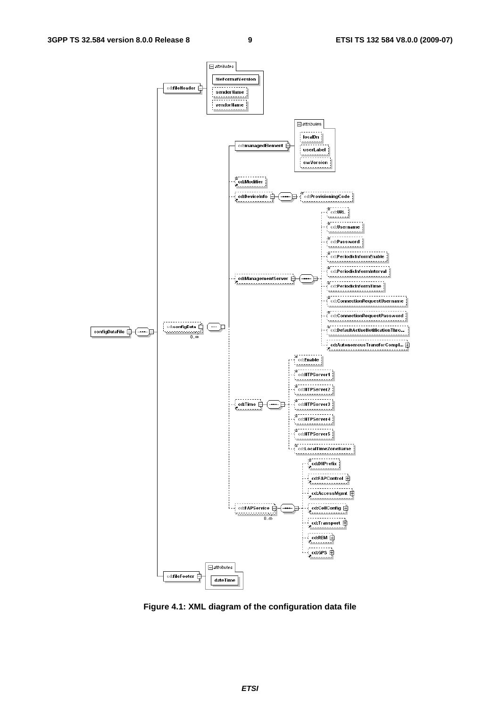

**Figure 4.1: XML diagram of the configuration data file**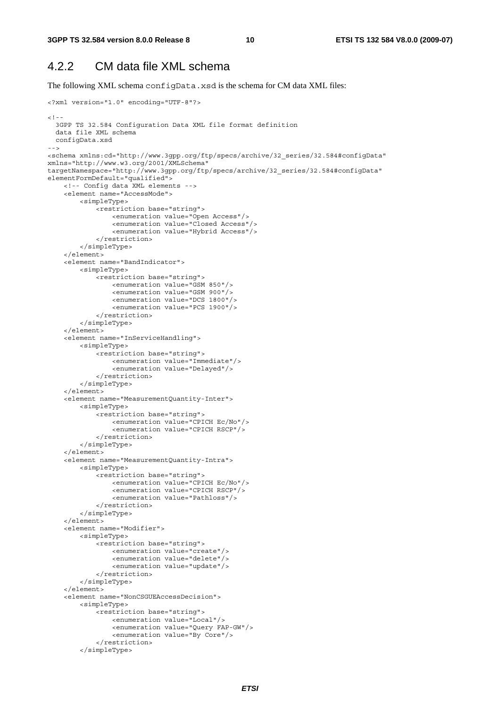### 4.2.2 CM data file XML schema

The following XML schema configData.xsd is the schema for CM data XML files:

```
<?xml version="1.0" encoding="UTF-8"?> 
<! - -
   3GPP TS 32.584 Configuration Data XML file format definition 
   data file XML schema 
  configData.xsd 
--> 
<schema xmlns:cd="http://www.3gpp.org/ftp/specs/archive/32_series/32.584#configData" 
xmlns="http://www.w3.org/2001/XMLSchema" 
targetNamespace="http://www.3gpp.org/ftp/specs/archive/32_series/32.584#configData" 
elementFormDefault="qualified"> 
     <!-- Config data XML elements --> 
     <element name="AccessMode"> 
         <simpleType> 
              <restriction base="string"> 
                  <enumeration value="Open Access"/> 
                  <enumeration value="Closed Access"/> 
                  <enumeration value="Hybrid Access"/> 
              </restriction> 
         </simpleType> 
     </element> 
     <element name="BandIndicator"> 
         <simpleType> 
              <restriction base="string"> 
                  <enumeration value="GSM 850"/> 
                  <enumeration value="GSM 900"/> 
                  <enumeration value="DCS 1800"/> 
                  <enumeration value="PCS 1900"/> 
              </restriction> 
         </simpleType> 
     </element> 
     <element name="InServiceHandling"> 
         <simpleType> 
              <restriction base="string"> 
                  <enumeration value="Immediate"/> 
                  <enumeration value="Delayed"/> 
              </restriction> 
         </simpleType> 
     </element> 
     <element name="MeasurementQuantity-Inter"> 
         <simpleType> 
              <restriction base="string"> 
                  <enumeration value="CPICH Ec/No"/> 
                  <enumeration value="CPICH RSCP"/> 
              </restriction> 
          </simpleType> 
     </element> 
     <element name="MeasurementQuantity-Intra"> 
         <simpleType> 
              <restriction base="string"> 
                  <enumeration value="CPICH Ec/No"/> 
                  <enumeration value="CPICH RSCP"/> 
                  <enumeration value="Pathloss"/> 
              </restriction> 
         </simpleType> 
     </element> 
     <element name="Modifier"> 
         <simpleType> 
              <restriction base="string"> 
                  <enumeration value="create"/> 
                  <enumeration value="delete"/> 
                  <enumeration value="update"/> 
              </restriction> 
          </simpleType> 
     </element> 
     <element name="NonCSGUEAccessDecision"> 
         <simpleType> 
              <restriction base="string"> 
                  <enumeration value="Local"/> 
                  <enumeration value="Query FAP-GW"/> 
                  <enumeration value="By Core"/> 
              </restriction> 
          </simpleType>
```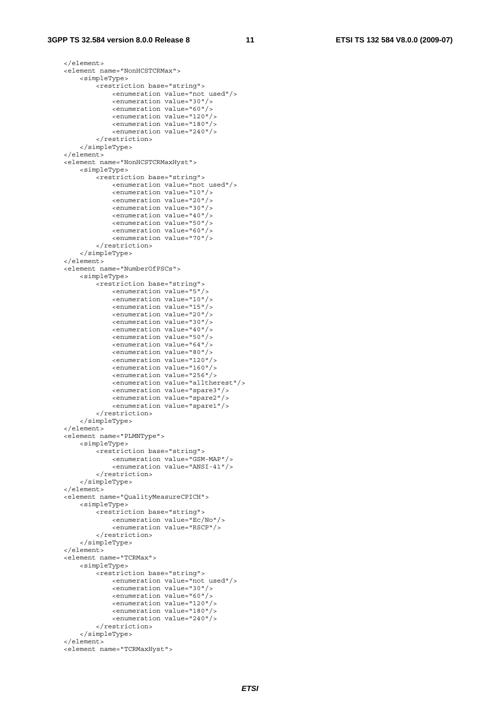### **3GPP TS 32.584 version 8.0.0 Release 8 11 ETSI TS 132 584 V8.0.0 (2009-07)**

```
 </element> 
 <element name="NonHCSTCRMax"> 
     <simpleType> 
         <restriction base="string"> 
              <enumeration value="not used"/> 
              <enumeration value="30"/> 
              <enumeration value="60"/> 
              <enumeration value="120"/> 
              <enumeration value="180"/> 
              <enumeration value="240"/> 
         </restriction> 
     </simpleType> 
 </element> 
 <element name="NonHCSTCRMaxHyst"> 
     <simpleType> 
         <restriction base="string"> 
              <enumeration value="not used"/> 
              <enumeration value="10"/> 
              <enumeration value="20"/> 
              <enumeration value="30"/> 
              <enumeration value="40"/> 
              <enumeration value="50"/> 
              <enumeration value="60"/> 
              <enumeration value="70"/> 
         </restriction> 
     </simpleType> 
 </element> 
 <element name="NumberOfPSCs"> 
     <simpleType> 
         <restriction base="string"> 
              <enumeration value="5"/> 
              <enumeration value="10"/> 
              <enumeration value="15"/> 
              <enumeration value="20"/> 
              <enumeration value="30"/> 
              <enumeration value="40"/> 
              <enumeration value="50"/> 
              <enumeration value="64"/> 
              <enumeration value="80"/> 
              <enumeration value="120"/> 
              <enumeration value="160"/> 
              <enumeration value="256"/> 
              <enumeration value="alltherest"/> 
              <enumeration value="spare3"/> 
              <enumeration value="spare2"/> 
              <enumeration value="spare1"/> 
         </restriction> 
     </simpleType> 
 </element> 
 <element name="PLMNType"> 
     <simpleType> 
         <restriction base="string"> 
              <enumeration value="GSM-MAP"/> 
              <enumeration value="ANSI-41"/> 
         </restriction> 
     </simpleType> 
 </element> 
 <element name="QualityMeasureCPICH"> 
     <simpleType> 
         <restriction base="string"> 
              <enumeration value="Ec/No"/> 
              <enumeration value="RSCP"/> 
         </restriction> 
     </simpleType> 
\epsilon/element>
 <element name="TCRMax"> 
     <simpleType> 
         <restriction base="string"> 
              <enumeration value="not used"/> 
              <enumeration value="30"/> 
              <enumeration value="60"/> 
              <enumeration value="120"/> 
              <enumeration value="180"/> 
              <enumeration value="240"/> 
          </restriction> 
     </simpleType> 
 </element>
```

```
 <element name="TCRMaxHyst">
```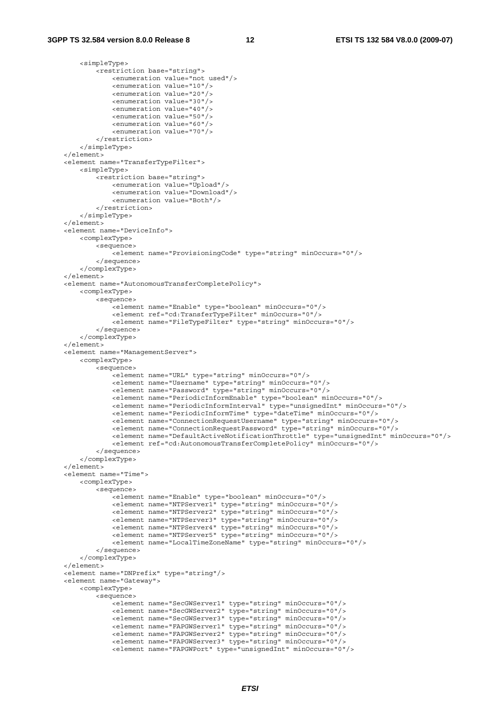<simpleType>

```
 <restriction base="string"> 
                 <enumeration value="not used"/> 
                 <enumeration value="10"/> 
                 <enumeration value="20"/> 
                 <enumeration value="30"/> 
                 <enumeration value="40"/> 
                 <enumeration value="50"/> 
                 <enumeration value="60"/> 
                 <enumeration value="70"/> 
             </restriction> 
         </simpleType> 
    </element> 
    <element name="TransferTypeFilter"> 
         <simpleType> 
             <restriction base="string"> 
                 <enumeration value="Upload"/> 
                 <enumeration value="Download"/> 
                 <enumeration value="Both"/> 
             </restriction> 
         </simpleType> 
    </element> 
    <element name="DeviceInfo"> 
         <complexType> 
             <sequence> 
                 <element name="ProvisioningCode" type="string" minOccurs="0"/> 
             </sequence> 
         </complexType> 
    </element> 
    <element name="AutonomousTransferCompletePolicy"> 
        <complexType> 
             <sequence> 
                .<br><element name="Enable" type="boolean" minOccurs="0"/>
                 <element ref="cd:TransferTypeFilter" minOccurs="0"/> 
                 <element name="FileTypeFilter" type="string" minOccurs="0"/> 
             </sequence> 
         </complexType> 
    </element> 
    <element name="ManagementServer"> 
         <complexType> 
             <sequence> 
                -<br><element name="URL" type="string" minOccurs="0"/>
                 <element name="Username" type="string" minOccurs="0"/> 
                 <element name="Password" type="string" minOccurs="0"/> 
                 <element name="PeriodicInformEnable" type="boolean" minOccurs="0"/> 
                 <element name="PeriodicInformInterval" type="unsignedInt" minOccurs="0"/> 
                 <element name="PeriodicInformTime" type="dateTime" minOccurs="0"/> 
                 <element name="ConnectionRequestUsername" type="string" minOccurs="0"/> 
                 <element name="ConnectionRequestPassword" type="string" minOccurs="0"/> 
                 <element name="DefaultActiveNotificationThrottle" type="unsignedInt" minOccurs="0"/> 
                 <element ref="cd:AutonomousTransferCompletePolicy" minOccurs="0"/> 
             </sequence> 
         </complexType> 
     </element> 
    <element name="Time"> 
         <complexType> 
             <sequence> 
                 <element name="Enable" type="boolean" minOccurs="0"/> 
 <element name="NTPServer1" type="string" minOccurs="0"/> 
 <element name="NTPServer2" type="string" minOccurs="0"/> 
                 <element name="NTPServer3" type="string" minOccurs="0"/> 
                 <element name="NTPServer4" type="string" minOccurs="0"/> 
                 <element name="NTPServer5" type="string" minOccurs="0"/> 
                 <element name="LocalTimeZoneName" type="string" minOccurs="0"/> 
             </sequence> 
         </complexType> 
     </element> 
    <element name="DNPrefix" type="string"/> 
    <element name="Gateway"> 
         <complexType> 
             <sequence> 
                 <element name="SecGWServer1" type="string" minOccurs="0"/> 
                 <element name="SecGWServer2" type="string" minOccurs="0"/> 
 <element name="SecGWServer3" type="string" minOccurs="0"/> 
 <element name="FAPGWServer1" type="string" minOccurs="0"/> 
                 <element name="FAPGWServer2" type="string" minOccurs="0"/> 
                 <element name="FAPGWServer3" type="string" minOccurs="0"/> 
                 <element name="FAPGWPort" type="unsignedInt" minOccurs="0"/>
```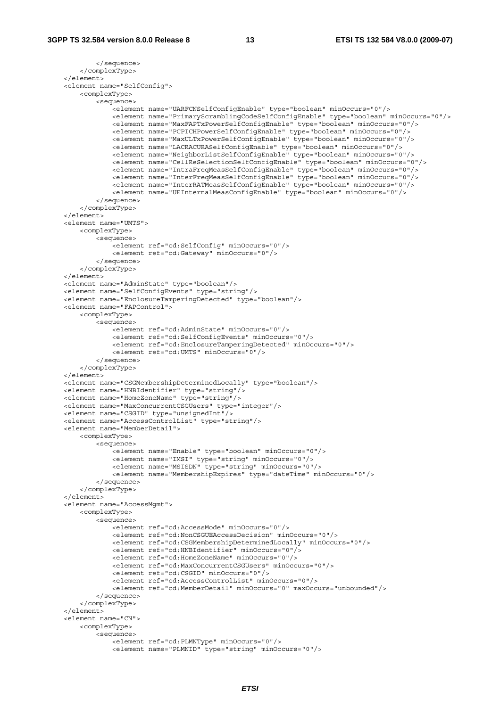```
 </sequence> 
     </complexType> 
 </element> 
 <element name="SelfConfig"> 
     <complexType> 
         <sequence> 
            -<br>-<element name="UARFCNSelfConfigEnable" type="boolean" minOccurs="0"/>
             <element name="PrimaryScramblingCodeSelfConfigEnable" type="boolean" minOccurs="0"/> 
             <element name="MaxFAPTxPowerSelfConfigEnable" type="boolean" minOccurs="0"/> 
              <element name="PCPICHPowerSelfConfigEnable" type="boolean" minOccurs="0"/> 
             <element name="MaxULTxPowerSelfConfigEnable" type="boolean" minOccurs="0"/> 
             <element name="LACRACURASelfConfigEnable" type="boolean" minOccurs="0"/> 
             <element name="NeighborListSelfConfigEnable" type="boolean" minOccurs="0"/> 
             <element name="CellReSelectionSelfConfigEnable" type="boolean" minOccurs="0"/> 
             <element name="IntraFreqMeasSelfConfigEnable" type="boolean" minOccurs="0"/> 
             <element name="InterFreqMeasSelfConfigEnable" type="boolean" minOccurs="0"/> 
             <element name="InterRATMeasSelfConfigEnable" type="boolean" minOccurs="0"/> 
              <element name="UEInternalMeasConfigEnable" type="boolean" minOccurs="0"/> 
         </sequence> 
     </complexType> 
 </element> 
 <element name="UMTS"> 
     <complexType> 
         <sequence> 
            .<br><element ref="cd:SelfConfig" minOccurs="0"/>
              <element ref="cd:Gateway" minOccurs="0"/> 
         </sequence> 
     </complexType> 
 </element> 
 <element name="AdminState" type="boolean"/> 
 <element name="SelfConfigEvents" type="string"/> 
 <element name="EnclosureTamperingDetected" type="boolean"/> 
 <element name="FAPControl"> 
     <complexType> 
         <sequence> 
             <element ref="cd:AdminState" minOccurs="0"/> 
             <element ref="cd:SelfConfigEvents" minOccurs="0"/> 
             <element ref="cd:EnclosureTamperingDetected" minOccurs="0"/> 
             <element ref="cd:UMTS" minOccurs="0"/> 
         </sequence> 
     </complexType> 
 </element> 
 <element name="CSGMembershipDeterminedLocally" type="boolean"/> 
 <element name="HNBIdentifier" type="string"/> 
 <element name="HomeZoneName" type="string"/> 
 <element name="MaxConcurrentCSGUsers" type="integer"/> 
 <element name="CSGID" type="unsignedInt"/> 
 <element name="AccessControlList" type="string"/> 
 <element name="MemberDetail"> 
     <complexType> 
         <sequence> 
             <element name="Enable" type="boolean" minOccurs="0"/> 
              <element name="IMSI" type="string" minOccurs="0"/> 
              <element name="MSISDN" type="string" minOccurs="0"/> 
             <element name="MembershipExpires" type="dateTime" minOccurs="0"/> 
         </sequence> 
     </complexType> 
 </element> 
 <element name="AccessMgmt"> 
     <complexType> 
         <sequence> 
             <element ref="cd:AccessMode" minOccurs="0"/> 
              <element ref="cd:NonCSGUEAccessDecision" minOccurs="0"/> 
             <element ref="cd:CSGMembershipDeterminedLocally" minOccurs="0"/> 
             <element ref="cd:HNBIdentifier" minOccurs="0"/> 
             <element ref="cd:HomeZoneName" minOccurs="0"/> 
              <element ref="cd:MaxConcurrentCSGUsers" minOccurs="0"/> 
             <element ref="cd:CSGID" minOccurs="0"/> 
             <element ref="cd:AccessControlList" minOccurs="0"/> 
              <element ref="cd:MemberDetail" minOccurs="0" maxOccurs="unbounded"/> 
         </sequence> 
     </complexType> 
 </element> 
 <element name="CN"> 
     <complexType> 
         <sequence> 
            -<br><element ref="cd:PLMNTvpe" minOccurs="0"/>
              <element name="PLMNID" type="string" minOccurs="0"/>
```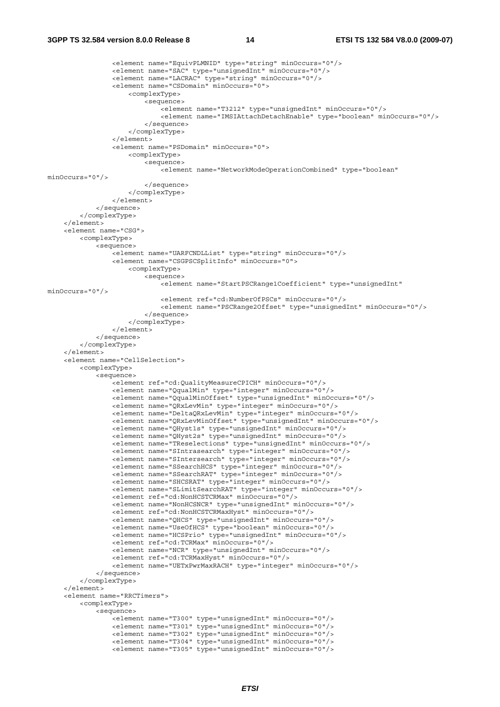### **3GPP TS 32.584 version 8.0.0 Release 8 14 ETSI TS 132 584 V8.0.0 (2009-07)**

```
 <element name="EquivPLMNID" type="string" minOccurs="0"/> 
                 <element name="SAC" type="unsignedInt" minOccurs="0"/> 
                 <element name="LACRAC" type="string" minOccurs="0"/> 
                 <element name="CSDomain" minOccurs="0"> 
                      <complexType> 
                          <sequence> 
                              <element name="T3212" type="unsignedInt" minOccurs="0"/> 
                              <element name="IMSIAttachDetachEnable" type="boolean" minOccurs="0"/> 
                          </sequence> 
                      </complexType> 
                 </element> 
                 <element name="PSDomain" minOccurs="0"> 
                      <complexType> 
                          <sequence> 
                              <element name="NetworkModeOperationCombined" type="boolean" 
minOccurs="0"/> 
                          </sequence> 
                      </complexType> 
                 </element> 
             </sequence> 
         </complexType> 
     </element> 
     <element name="CSG"> 
         <complexType> 
             <sequence> 
                 <element name="UARFCNDLList" type="string" minOccurs="0"/> 
                 <element name="CSGPSCSplitInfo" minOccurs="0"> 
                      <complexType> 
                          <sequence> 
                             .<br><element name="StartPSCRange1Coefficient" type="unsignedInt"
minOccurs="0"/> 
                              <element ref="cd:NumberOfPSCs" minOccurs="0"/> 
                              <element name="PSCRange2Offset" type="unsignedInt" minOccurs="0"/> 
                          </sequence> 
                      </complexType> 
                 </element> 
             </sequence> 
         </complexType> 
     </element> 
     <element name="CellSelection"> 
         <complexType> 
             <sequence> 
                 <element ref="cd:QualityMeasureCPICH" minOccurs="0"/> 
                 <element name="QqualMin" type="integer" minOccurs="0"/> 
                 <element name="QqualMinOffset" type="unsignedInt" minOccurs="0"/> 
                 <element name="QRxLevMin" type="integer" minOccurs="0"/> 
                 <element name="DeltaQRxLevMin" type="integer" minOccurs="0"/> 
                 <element name="QRxLevMinOffset" type="unsignedInt" minOccurs="0"/> 
 <element name="QHyst1s" type="unsignedInt" minOccurs="0"/> 
 <element name="QHyst2s" type="unsignedInt" minOccurs="0"/> 
 <element name="TReselections" type="unsignedInt" minOccurs="0"/> 
 <element name="SIntrasearch" type="integer" minOccurs="0"/> 
                 <element name="SIntersearch" type="integer" minOccurs="0"/> 
                 <element name="SSearchHCS" type="integer" minOccurs="0"/> 
                 <element name="SSearchRAT" type="integer" minOccurs="0"/> 
                 <element name="SHCSRAT" type="integer" minOccurs="0"/> 
                 <element name="SLimitSearchRAT" type="integer" minOccurs="0"/> 
                 <element ref="cd:NonHCSTCRMax" minOccurs="0"/> 
                 <element name="NonHCSNCR" type="unsignedInt" minOccurs="0"/> 
                 <element ref="cd:NonHCSTCRMaxHyst" minOccurs="0"/> 
                 <element name="QHCS" type="unsignedInt" minOccurs="0"/> 
                 <element name="UseOfHCS" type="boolean" minOccurs="0"/> 
                 <element name="HCSPrio" type="unsignedInt" minOccurs="0"/> 
                 <element ref="cd:TCRMax" minOccurs="0"/> 
                 <element name="NCR" type="unsignedInt" minOccurs="0"/> 
                 <element ref="cd:TCRMaxHyst" minOccurs="0"/> 
                 <element name="UETxPwrMaxRACH" type="integer" minOccurs="0"/> 
             </sequence> 
         </complexType> 
     </element> 
     <element name="RRCTimers"> 
         <complexType> 
             <sequence> 
                 <element name="T300" type="unsignedInt" minOccurs="0"/> 
                 <element name="T301" type="unsignedInt" minOccurs="0"/> 
                 <element name="T302" type="unsignedInt" minOccurs="0"/> 
                 <element name="T304" type="unsignedInt" minOccurs="0"/> 
                 <element name="T305" type="unsignedInt" minOccurs="0"/>
```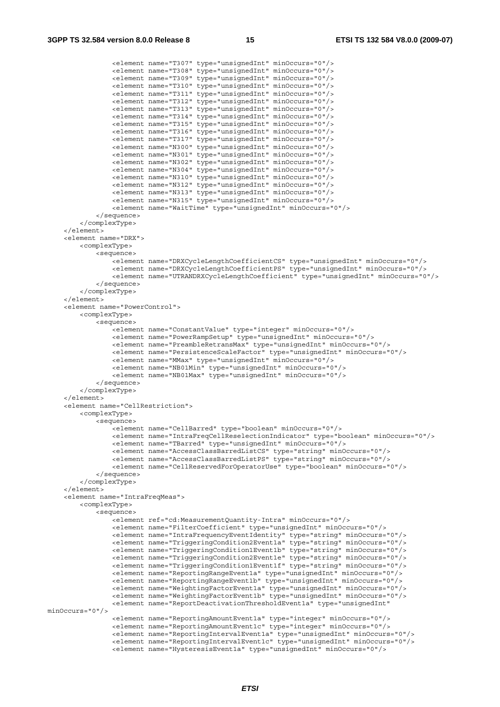<element name="T307" type="unsignedInt" minOccurs="0"/> <element name="T308" type="unsignedInt" minOccurs="0"/> <element name="T309" type="unsignedInt" minOccurs="0"/> <element name="T310" type="unsignedInt" minOccurs="0"/> <element name="T311" type="unsignedInt" minOccurs="0"/> <element name="T312" type="unsignedInt" minOccurs="0"/> <element name="T313" type="unsignedInt" minOccurs="0"/> <element name="T314" type="unsignedInt" minOccurs="0"/> <element name="T315" type="unsignedInt" minOccurs="0"/> <element name="T316" type="unsignedInt" minOccurs="0"/> <element name="T317" type="unsignedInt" minOccurs="0"/> <element name="N300" type="unsignedInt" minOccurs="0"/> <element name="N301" type="unsignedInt" minOccurs="0"/> <element name="N302" type="unsignedInt" minOccurs="0"/> <element name="N304" type="unsignedInt" minOccurs="0"/> <element name="N310" type="unsignedInt" minOccurs="0"/> <element name="N312" type="unsignedInt" minOccurs="0"/> <element name="N313" type="unsignedInt" minOccurs="0"/> <element name="N315" type="unsignedInt" minOccurs="0"/> <element name="WaitTime" type="unsignedInt" minOccurs="0"/> </sequence> </complexType> </element> <element name="DRX"> <complexType> <sequence> -<br><element name="DRXCycleLengthCoefficientCS" type="unsignedInt" minOccurs="0"/> <element name="DRXCycleLengthCoefficientPS" type="unsignedInt" minOccurs="0"/> <element name="UTRANDRXCycleLengthCoefficient" type="unsignedInt" minOccurs="0"/> </sequence> </complexType> </element> <element name="PowerControl"> <complexType> <sequence> <element name="ConstantValue" type="integer" minOccurs="0"/> <element name="PowerRampSetup" type="unsignedInt" minOccurs="0"/> <element name="PreambleRetransMax" type="unsignedInt" minOccurs="0"/> <element name="PersistenceScaleFactor" type="unsignedInt" minOccurs="0"/> <element name="MMax" type="unsignedInt" minOccurs="0"/> <element name="NB01Min" type="unsignedInt" minOccurs="0"/> <element name="NB01Max" type="unsignedInt" minOccurs="0"/> </sequence> </complexType> </element> <element name="CellRestriction"> <complexType> <sequence> <element name="CellBarred" type="boolean" minOccurs="0"/> <element name="IntraFreqCellReselectionIndicator" type="boolean" minOccurs="0"/> <element name="TBarred" type="unsignedInt" minOccurs="0"/> <element name="AccessClassBarredListCS" type="string" minOccurs="0"/> <element name="AccessClassBarredListPS" type="string" minOccurs="0"/> <element name="CellReservedForOperatorUse" type="boolean" minOccurs="0"/> </sequence> </complexType> </element> <element name="IntraFreqMeas"> <complexType> <sequence> <element ref="cd:MeasurementQuantity-Intra" minOccurs="0"/> <element name="FilterCoefficient" type="unsignedInt" minOccurs="0"/> <element name="IntraFrequencyEventIdentity" type="string" minOccurs="0"/> <element name="TriggeringCondition2Event1a" type="string" minOccurs="0"/> <element name="TriggeringCondition1Event1b" type="string" minOccurs="0"/> <element name="TriggeringCondition2Event1e" type="string" minOccurs="0"/> <element name="TriggeringCondition1Event1f" type="string" minOccurs="0"/> <element name="ReportingRangeEvent1a" type="unsignedInt" minOccurs="0"/> <element name="ReportingRangeEvent1b" type="unsignedInt" minOccurs="0"/> <element name="WeightingFactorEvent1a" type="unsignedInt" minOccurs="0"/> <element name="WeightingFactorEvent1b" type="unsignedInt" minOccurs="0"/> <element name="ReportDeactivationThresholdEvent1a" type="unsignedInt" minOccurs="0"/> <element name="ReportingAmountEvent1a" type="integer" minOccurs="0"/> <element name="ReportingAmountEvent1c" type="integer" minOccurs="0"/> <element name="ReportingIntervalEvent1a" type="unsignedInt" minOccurs="0"/> <element name="ReportingIntervalEvent1c" type="unsignedInt" minOccurs="0"/> <element name="HysteresisEvent1a" type="unsignedInt" minOccurs="0"/>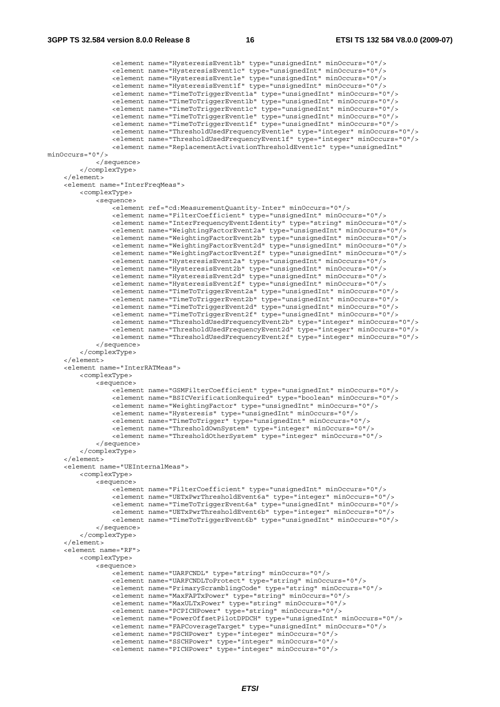<element name="HysteresisEvent1b" type="unsignedInt" minOccurs="0"/> <element name="HysteresisEvent1c" type="unsignedInt" minOccurs="0"/> <element name="HysteresisEvent1e" type="unsignedInt" minOccurs="0"/> <element name="HysteresisEvent1f" type="unsignedInt" minOccurs="0"/> <element name="TimeToTriggerEvent1a" type="unsignedInt" minOccurs="0"/> <element name="TimeToTriggerEvent1b" type="unsignedInt" minOccurs="0"/> <element name="TimeToTriggerEvent1c" type="unsignedInt" minOccurs="0"/> <element name="TimeToTriggerEvent1e" type="unsignedInt" minOccurs="0"/> <element name="TimeToTriggerEvent1f" type="unsignedInt" minOccurs="0"/> <element name="ThresholdUsedFrequencyEvent1e" type="integer" minOccurs="0"/> <element name="ThresholdUsedFrequencyEvent1f" type="integer" minOccurs="0"/> <element name="ReplacementActivationThresholdEvent1c" type="unsignedInt" minOccurs="0"/> </sequence> </complexType> </element> <element name="InterFreqMeas"> <complexType> <sequence> <element ref="cd:MeasurementQuantity-Inter" minOccurs="0"/> <element name="FilterCoefficient" type="unsignedInt" minOccurs="0"/> <element name="InterFrequencyEventIdentity" type="string" minOccurs="0"/> <element name="WeightingFactorEvent2a" type="unsignedInt" minOccurs="0"/> <element name="WeightingFactorEvent2b" type="unsignedInt" minOccurs="0"/> <element name="WeightingFactorEvent2d" type="unsignedInt" minOccurs="0"/> <element name="WeightingFactorEvent2f" type="unsignedInt" minOccurs="0"/> <element name="HysteresisEvent2a" type="unsignedInt" minOccurs="0"/> <element name="HysteresisEvent2b" type="unsignedInt" minOccurs="0"/> <element name="HysteresisEvent2d" type="unsignedInt" minOccurs="0"/> <element name="HysteresisEvent2f" type="unsignedInt" minOccurs="0"/> <element name="TimeToTriggerEvent2a" type="unsignedInt" minOccurs="0"/> <element name="TimeToTriggerEvent2b" type="unsignedInt" minOccurs="0"/> <element name="TimeToTriggerEvent2d" type="unsignedInt" minOccurs="0"/> <element name="TimeToTriggerEvent2f" type="unsignedInt" minOccurs="0"/> <element name="ThresholdUsedFrequencyEvent2b" type="integer" minOccurs="0"/> <element name="ThresholdUsedFrequencyEvent2d" type="integer" minOccurs="0"/> <element name="ThresholdUsedFrequencyEvent2f" type="integer" minOccurs="0"/> </sequence> </complexType> </element> <element name="InterRATMeas"> <complexType> <sequence> <element name="GSMFilterCoefficient" type="unsignedInt" minOccurs="0"/> <element name="BSICVerificationRequired" type="boolean" minOccurs="0"/> <element name="WeightingFactor" type="unsignedInt" minOccurs="0"/> <element name="Hysteresis" type="unsignedInt" minOccurs="0"/> <element name="TimeToTrigger" type="unsignedInt" minOccurs="0"/> <element name="ThresholdOwnSystem" type="integer" minOccurs="0"/> <element name="ThresholdOtherSystem" type="integer" minOccurs="0"/> </sequence> </complexType> </element> <element name="UEInternalMeas"> <complexType> <sequence> <element name="FilterCoefficient" type="unsignedInt" minOccurs="0"/> <element name="UETxPwrThresholdEvent6a" type="integer" minOccurs="0"/> <element name="TimeToTriggerEvent6a" type="unsignedInt" minOccurs="0"/> <element name="UETxPwrThresholdEvent6b" type="integer" minOccurs="0"/> <element name="TimeToTriggerEvent6b" type="unsignedInt" minOccurs="0"/> </sequence> </complexType> </element> <element name="RF"> <complexType> <sequence> .<br><element name="UARFCNDL" type="string" minOccurs="0"/> <element name="UARFCNDLToProtect" type="string" minOccurs="0"/> <element name="PrimaryScramblingCode" type="string" minOccurs="0"/> <element name="MaxFAPTxPower" type="string" minOccurs="0"/> <element name="MaxULTxPower" type="string" minOccurs="0"/> <element name="PCPICHPower" type="string" minOccurs="0"/> <element name="PowerOffsetPilotDPDCH" type="unsignedInt" minOccurs="0"/> <element name="FAPCoverageTarget" type="unsignedInt" minOccurs="0"/> <element name="PSCHPower" type="integer" minOccurs="0"/> <element name="SSCHPower" type="integer" minOccurs="0"/>

<element name="PICHPower" type="integer" minOccurs="0"/>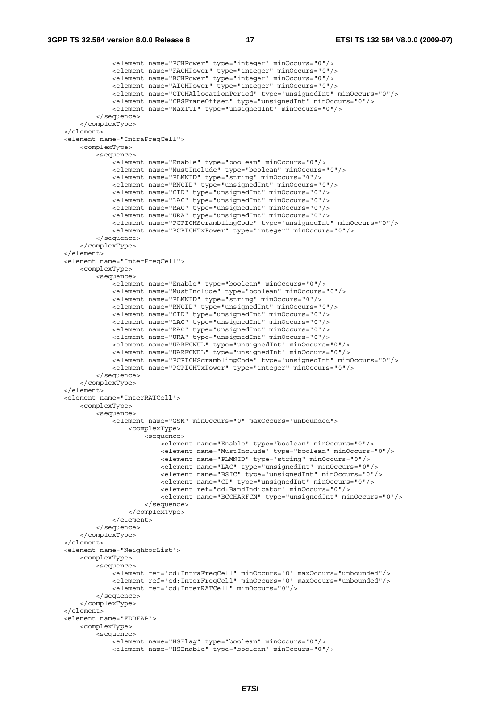```
 <element name="PCHPower" type="integer" minOccurs="0"/> 
             <element name="FACHPower" type="integer" minOccurs="0"/> 
             <element name="BCHPower" type="integer" minOccurs="0"/> 
             <element name="AICHPower" type="integer" minOccurs="0"/> 
              <element name="CTCHAllocationPeriod" type="unsignedInt" minOccurs="0"/> 
              <element name="CBSFrameOffset" type="unsignedInt" minOccurs="0"/> 
             <element name="MaxTTI" type="unsignedInt" minOccurs="0"/> 
         </sequence> 
     </complexType> 
 </element> 
 <element name="IntraFreqCell"> 
     <complexType> 
         <sequence> 
             <element name="Enable" type="boolean" minOccurs="0"/> 
              <element name="MustInclude" type="boolean" minOccurs="0"/> 
              <element name="PLMNID" type="string" minOccurs="0"/> 
             <element name="RNCID" type="unsignedInt" minOccurs="0"/> 
              <element name="CID" type="unsignedInt" minOccurs="0"/> 
             <element name="LAC" type="unsignedInt" minOccurs="0"/> 
             <element name="RAC" type="unsignedInt" minOccurs="0"/> 
             <element name="URA" type="unsignedInt" minOccurs="0"/> 
             <element name="PCPICHScramblingCode" type="unsignedInt" minOccurs="0"/> 
              <element name="PCPICHTxPower" type="integer" minOccurs="0"/> 
         </sequence> 
     </complexType> 
 </element> 
 <element name="InterFreqCell"> 
     <complexType> 
         <sequence> 
            -<br><element name="Enable" type="boolean" minOccurs="0"/>
              <element name="MustInclude" type="boolean" minOccurs="0"/> 
              <element name="PLMNID" type="string" minOccurs="0"/> 
             <element name="RNCID" type="unsignedInt" minOccurs="0"/> 
             <element name="CID" type="unsignedInt" minOccurs="0"/> 
              <element name="LAC" type="unsignedInt" minOccurs="0"/> 
              <element name="RAC" type="unsignedInt" minOccurs="0"/> 
             <element name="URA" type="unsignedInt" minOccurs="0"/> 
             <element name="UARFCNUL" type="unsignedInt" minOccurs="0"/> 
             <element name="UARFCNDL" type="unsignedInt" minOccurs="0"/> 
              <element name="PCPICHScramblingCode" type="unsignedInt" minOccurs="0"/> 
              <element name="PCPICHTxPower" type="integer" minOccurs="0"/> 
         </sequence> 
     </complexType> 
 </element> 
 <element name="InterRATCell"> 
     <complexType> 
         <sequence> 
             <element name="GSM" minOccurs="0" maxOccurs="unbounded"> 
                  <complexType> 
                      <sequence> 
                         -<br><element name="Enable" type="boolean" minOccurs="0"/>
                          <element name="MustInclude" type="boolean" minOccurs="0"/> 
                          <element name="PLMNID" type="string" minOccurs="0"/> 
                          <element name="LAC" type="unsignedInt" minOccurs="0"/> 
                          <element name="BSIC" type="unsignedInt" minOccurs="0"/> 
                          <element name="CI" type="unsignedInt" minOccurs="0"/> 
                          <element ref="cd:BandIndicator" minOccurs="0"/> 
                          <element name="BCCHARFCN" type="unsignedInt" minOccurs="0"/> 
                      </sequence> 
                  </complexType> 
             </element> 
         </sequence> 
     </complexType> 
 </element> 
 <element name="NeighborList"> 
     <complexType> 
         <sequence> 
            -<br><element ref="cd:IntraFreqCell" minOccurs="0" maxOccurs="unbounded"/>
             <element ref="cd:InterFreqCell" minOccurs="0" maxOccurs="unbounded"/> 
              <element ref="cd:InterRATCell" minOccurs="0"/> 
         </sequence> 
     </complexType> 
 </element> 
 <element name="FDDFAP"> 
     <complexType> 
         <sequence> 
             <element name="HSFlag" type="boolean" minOccurs="0"/> 
              <element name="HSEnable" type="boolean" minOccurs="0"/>
```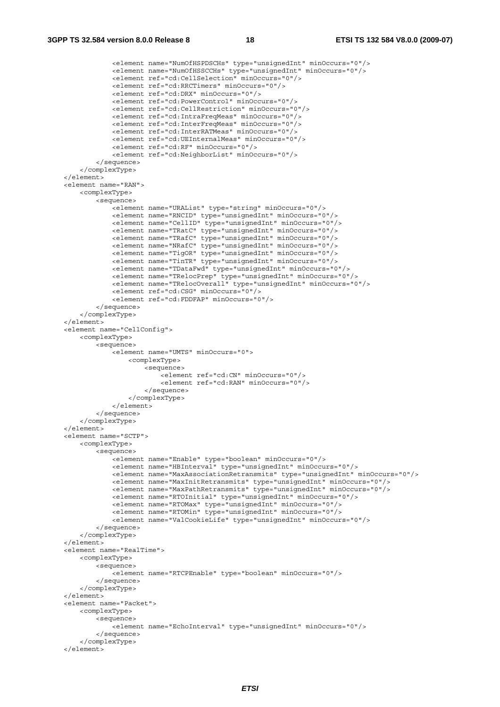```
 <element name="NumOfHSPDSCHs" type="unsignedInt" minOccurs="0"/> 
                 <element name="NumOfHSSCCHs" type="unsignedInt" minOccurs="0"/> 
                 <element ref="cd:CellSelection" minOccurs="0"/> 
                 <element ref="cd:RRCTimers" minOccurs="0"/> 
                 <element ref="cd:DRX" minOccurs="0"/> 
                 <element ref="cd:PowerControl" minOccurs="0"/> 
                 <element ref="cd:CellRestriction" minOccurs="0"/> 
                 <element ref="cd:IntraFreqMeas" minOccurs="0"/> 
                 <element ref="cd:InterFreqMeas" minOccurs="0"/> 
                 <element ref="cd:InterRATMeas" minOccurs="0"/> 
                 <element ref="cd:UEInternalMeas" minOccurs="0"/> 
                 <element ref="cd:RF" minOccurs="0"/> 
                 <element ref="cd:NeighborList" minOccurs="0"/> 
             </sequence> 
         </complexType> 
    </element> 
    <element name="RAN"> 
         <complexType> 
             <sequence> 
                 <element name="URAList" type="string" minOccurs="0"/> 
                 <element name="RNCID" type="unsignedInt" minOccurs="0"/> 
                 <element name="CellID" type="unsignedInt" minOccurs="0"/> 
                 <element name="TRatC" type="unsignedInt" minOccurs="0"/> 
                 <element name="TRafC" type="unsignedInt" minOccurs="0"/> 
                 <element name="NRafC" type="unsignedInt" minOccurs="0"/> 
                 <element name="TigOR" type="unsignedInt" minOccurs="0"/> 
                 <element name="TinTR" type="unsignedInt" minOccurs="0"/> 
                 <element name="TDataFwd" type="unsignedInt" minOccurs="0"/> 
                 <element name="TRelocPrep" type="unsignedInt" minOccurs="0"/> 
                 <element name="TRelocOverall" type="unsignedInt" minOccurs="0"/> 
                 <element ref="cd:CSG" minOccurs="0"/> 
                 <element ref="cd:FDDFAP" minOccurs="0"/> 
             </sequence> 
         </complexType> 
     </element> 
     <element name="CellConfig"> 
        <complexType> 
             <sequence> 
                 <element name="UMTS" minOccurs="0"> 
                     <complexType> 
                         <sequence> 
                            .<br><element ref="cd:CN" minOccurs="0"/>
                              <element ref="cd:RAN" minOccurs="0"/> 
                          </sequence> 
                     </complexType> 
                 </element> 
             </sequence> 
         </complexType> 
     </element> 
    <element name="SCTP"> 
         <complexType> 
             <sequence> 
                 <element name="Enable" type="boolean" minOccurs="0"/> 
                 <element name="HBInterval" type="unsignedInt" minOccurs="0"/> 
                 <element name="MaxAssociationRetransmits" type="unsignedInt" minOccurs="0"/> 
 <element name="MaxInitRetransmits" type="unsignedInt" minOccurs="0"/> 
 <element name="MaxPathRetransmits" type="unsignedInt" minOccurs="0"/> 
                 <element name="RTOInitial" type="unsignedInt" minOccurs="0"/> 
 <element name="RTOMax" type="unsignedInt" minOccurs="0"/> 
 <element name="RTOMin" type="unsignedInt" minOccurs="0"/> 
                 <element name="ValCookieLife" type="unsignedInt" minOccurs="0"/> 
             </sequence> 
         </complexType> 
    </element> 
    <element name="RealTime"> 
         <complexType> 
             <sequence> 
                 <element name="RTCPEnable" type="boolean" minOccurs="0"/> 
             </sequence> 
         </complexType> 
     </element> 
    <element name="Packet"> 
        <complexType> 
             <sequence> 
                 <element name="EchoInterval" type="unsignedInt" minOccurs="0"/> 
             </sequence> 
         </complexType> 
    </element>
```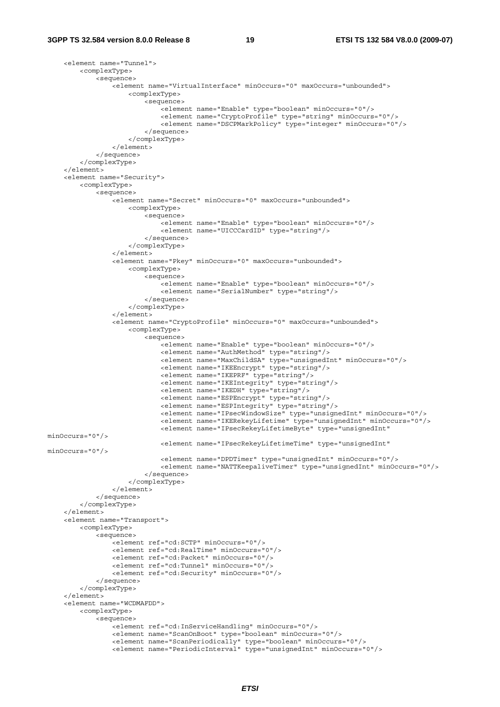```
 <element name="Tunnel"> 
         <complexType> 
              <sequence> 
                 -<br><element name="VirtualInterface" minOccurs="0" maxOccurs="unbounded">
                      <complexType> 
                           <sequence> 
                              -<br><element name="Enable" type="boolean" minOccurs="0"/>
                               <element name="CryptoProfile" type="string" minOccurs="0"/> 
                               <element name="DSCPMarkPolicy" type="integer" minOccurs="0"/> 
                           </sequence> 
                      </complexType> 
                  </element> 
              </sequence> 
          </complexType> 
     </element> 
     <element name="Security"> 
         <complexType> 
              <sequence> 
                  <element name="Secret" minOccurs="0" maxOccurs="unbounded"> 
                      <complexType> 
                           <sequence> 
                              .<br><element name="Enable" type="boolean" minOccurs="0"/>
                               <element name="UICCCardID" type="string"/> 
                           </sequence> 
                      </complexType> 
                  </element> 
                  <element name="Pkey" minOccurs="0" maxOccurs="unbounded"> 
                      <complexType> 
                           <sequence> 
                              .<br><element name="Enable" type="boolean" minOccurs="0"/>
                               <element name="SerialNumber" type="string"/> 
                           </sequence> 
                      </complexType> 
                  </element> 
                  <element name="CryptoProfile" minOccurs="0" maxOccurs="unbounded"> 
                      <complexType> 
                           <sequence> 
                              .<br><element name="Enable" type="boolean" minOccurs="0"/>
                               <element name="AuthMethod" type="string"/> 
                               <element name="MaxChildSA" type="unsignedInt" minOccurs="0"/> 
                               <element name="IKEEncrypt" type="string"/> 
                               <element name="IKEPRF" type="string"/> 
                               <element name="IKEIntegrity" type="string"/> 
                               <element name="IKEDH" type="string"/> 
                               <element name="ESPEncrypt" type="string"/> 
                               <element name="ESPIntegrity" type="string"/> 
                               <element name="IPsecWindowSize" type="unsignedInt" minOccurs="0"/> 
                               <element name="IKERekeyLifetime" type="unsignedInt" minOccurs="0"/> 
                               <element name="IPsecRekeyLifetimeByte" type="unsignedInt" 
minOccurs="0"/> 
                               <element name="IPsecRekeyLifetimeTime" type="unsignedInt" 
minOc^{max} = "0"/
                               <element name="DPDTimer" type="unsignedInt" minOccurs="0"/> 
                               <element name="NATTKeepaliveTimer" type="unsignedInt" minOccurs="0"/> 
                           </sequence> 
                      </complexType> 
                  </element> 
              </sequence> 
         </complexType> 
    \epsilon/element>
     <element name="Transport"> 
         <complexType> 
              <sequence> 
                  <element ref="cd:SCTP" minOccurs="0"/> 
                  <element ref="cd:RealTime" minOccurs="0"/> 
                  <element ref="cd:Packet" minOccurs="0"/> 
                  <element ref="cd:Tunnel" minOccurs="0"/> 
                  <element ref="cd:Security" minOccurs="0"/> 
              </sequence> 
          </complexType> 
     </element> 
     <element name="WCDMAFDD"> 
         <complexType> 
              <sequence> 
                  <element ref="cd:InServiceHandling" minOccurs="0"/> 
                  <element name="ScanOnBoot" type="boolean" minOccurs="0"/> 
                  <element name="ScanPeriodically" type="boolean" minOccurs="0"/> 
                  <element name="PeriodicInterval" type="unsignedInt" minOccurs="0"/>
```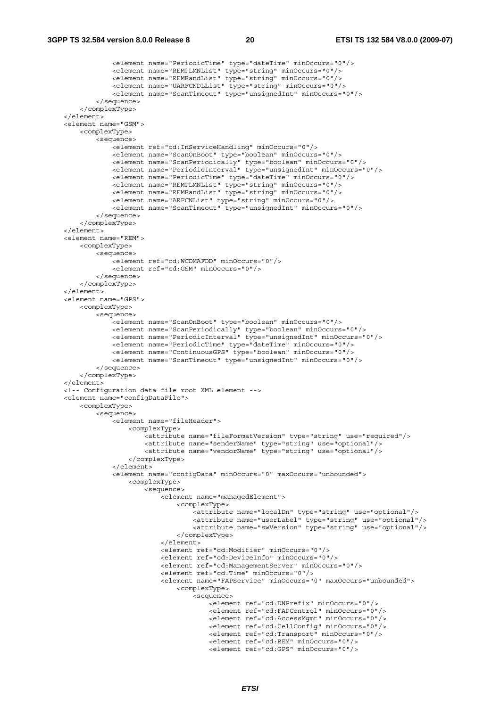```
 <element name="PeriodicTime" type="dateTime" minOccurs="0"/> 
                <element name="REMPLMNList" type="string" minOccurs="0"/> 
                <element name="REMBandList" type="string" minOccurs="0"/> 
                <element name="UARFCNDLList" type="string" minOccurs="0"/> 
                <element name="ScanTimeout" type="unsignedInt" minOccurs="0"/> 
            </sequence> 
        </complexType> 
    </element> 
    <element name="GSM"> 
        <complexType> 
            <sequence> 
                <element ref="cd:InServiceHandling" minOccurs="0"/> 
                <element name="ScanOnBoot" type="boolean" minOccurs="0"/> 
                <element name="ScanPeriodically" type="boolean" minOccurs="0"/> 
                <element name="PeriodicInterval" type="unsignedInt" minOccurs="0"/> 
                <element name="PeriodicTime" type="dateTime" minOccurs="0"/> 
 <element name="REMPLMNList" type="string" minOccurs="0"/> 
 <element name="REMBandList" type="string" minOccurs="0"/> 
                <element name="ARFCNList" type="string" minOccurs="0"/> 
                <element name="ScanTimeout" type="unsignedInt" minOccurs="0"/> 
            </sequence> 
        </complexType> 
    </element> 
    <element name="REM"> 
        <complexType> 
            <sequence> 
                <element ref="cd:WCDMAFDD" minOccurs="0"/> 
                <element ref="cd:GSM" minOccurs="0"/> 
            </sequence> 
        </complexType> 
    </element> 
    <element name="GPS"> 
        <complexType> 
            <sequence> 
                <element name="ScanOnBoot" type="boolean" minOccurs="0"/> 
 <element name="ScanPeriodically" type="boolean" minOccurs="0"/> 
 <element name="PeriodicInterval" type="unsignedInt" minOccurs="0"/> 
                <element name="PeriodicTime" type="dateTime" minOccurs="0"/> 
                <element name="ContinuousGPS" type="boolean" minOccurs="0"/> 
                <element name="ScanTimeout" type="unsignedInt" minOccurs="0"/> 
            </sequence> 
        </complexType> 
    </element> 
    <!-- Configuration data file root XML element --> 
    <element name="configDataFile"> 
        <complexType> 
            <sequence> 
                <element name="fileHeader"> 
                    <complexType> 
                        <attribute name="fileFormatVersion" type="string" use="required"/> 
 <attribute name="senderName" type="string" use="optional"/> 
 <attribute name="vendorName" type="string" use="optional"/> 
                    </complexType> 
                </element> 
                <element name="configData" minOccurs="0" maxOccurs="unbounded"> 
                    <complexType> 
                        <sequence> 
                            <element name="managedElement"> 
                                <complexType> 
                                    <attribute name="localDn" type="string" use="optional"/> 
 <attribute name="userLabel" type="string" use="optional"/> 
 <attribute name="swVersion" type="string" use="optional"/> 
                                </complexType> 
                            </element> 
                            <element ref="cd:Modifier" minOccurs="0"/> 
                            <element ref="cd:DeviceInfo" minOccurs="0"/> 
                            <element ref="cd:ManagementServer" minOccurs="0"/> 
                            <element ref="cd:Time" minOccurs="0"/> 
                            <element name="FAPService" minOccurs="0" maxOccurs="unbounded"> 
                                <complexType> 
                                    <sequence> 
                                        <element ref="cd:DNPrefix" minOccurs="0"/> 
                                        <element ref="cd:FAPControl" minOccurs="0"/> 
                                        <element ref="cd:AccessMgmt" minOccurs="0"/> 
                                        <element ref="cd:CellConfig" minOccurs="0"/> 
                                        <element ref="cd:Transport" minOccurs="0"/> 
                                        <element ref="cd:REM" minOccurs="0"/> 
                                        <element ref="cd:GPS" minOccurs="0"/>
```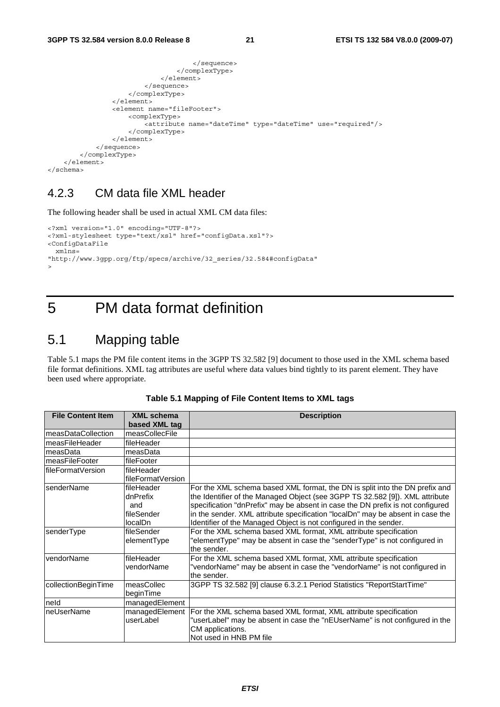```
 </sequence> 
                                     </complexType> 
                                </element> 
                            </sequence> 
                       </complexType> 
                   </element> 
                   <element name="fileFooter"> 
                       <complexType> 
                            <attribute name="dateTime" type="dateTime" use="required"/> 
                       </complexType> 
                   </element> 
              </sequence> 
          </complexType> 
     </element> 
</schema>
```
### 4.2.3 CM data file XML header

The following header shall be used in actual XML CM data files:

```
<?xml version="1.0" encoding="UTF-8"?> 
<?xml-stylesheet type="text/xsl" href="configData.xsl"?> 
<ConfigDataFile 
   xmlns= 
"http://www.3gpp.org/ftp/specs/archive/32_series/32.584#configData" 
\rightarrow
```
## 5 PM data format definition

### 5.1 Mapping table

Table 5.1 maps the PM file content items in the 3GPP TS 32.582 [9] document to those used in the XML schema based file format definitions. XML tag attributes are useful where data values bind tightly to its parent element. They have been used where appropriate.

| <b>File Content Item</b> | <b>XML</b> schema | <b>Description</b>                                                             |
|--------------------------|-------------------|--------------------------------------------------------------------------------|
|                          | based XML tag     |                                                                                |
| measDataCollection       | measCollecFile    |                                                                                |
| measFileHeader           | fileHeader        |                                                                                |
| measData                 | measData          |                                                                                |
| measFileFooter           | fileFooter        |                                                                                |
| lfileFormatVersion       | fileHeader        |                                                                                |
|                          | fileFormatVersion |                                                                                |
| <b>IsenderName</b>       | fileHeader        | For the XML schema based XML format, the DN is split into the DN prefix and    |
|                          | dnPrefix          | the Identifier of the Managed Object (see 3GPP TS 32.582 [9]). XML attribute   |
|                          | and               | specification "dnPrefix" may be absent in case the DN prefix is not configured |
|                          | fileSender        | in the sender. XML attribute specification "localDn" may be absent in case the |
|                          | localDn           | Identifier of the Managed Object is not configured in the sender.              |
| senderType               | fileSender        | For the XML schema based XML format, XML attribute specification               |
|                          | elementType       | "elementType" may be absent in case the "senderType" is not configured in      |
|                          |                   | the sender.                                                                    |
| vendorName               | fileHeader        | For the XML schema based XML format, XML attribute specification               |
|                          | vendorName        | "vendorName" may be absent in case the "vendorName" is not configured in       |
|                          |                   | the sender.                                                                    |
| collectionBeginTime      | measCollec        | 3GPP TS 32.582 [9] clause 6.3.2.1 Period Statistics "ReportStartTime"          |
|                          | beginTime         |                                                                                |
| neld                     | managedElement    |                                                                                |
| neUserName               | managedElement    | For the XML schema based XML format, XML attribute specification               |
|                          | userLabel         | "userLabel" may be absent in case the "nEUserName" is not configured in the    |
|                          |                   | CM applications.                                                               |
|                          |                   | Not used in HNB PM file                                                        |

**Table 5.1 Mapping of File Content Items to XML tags**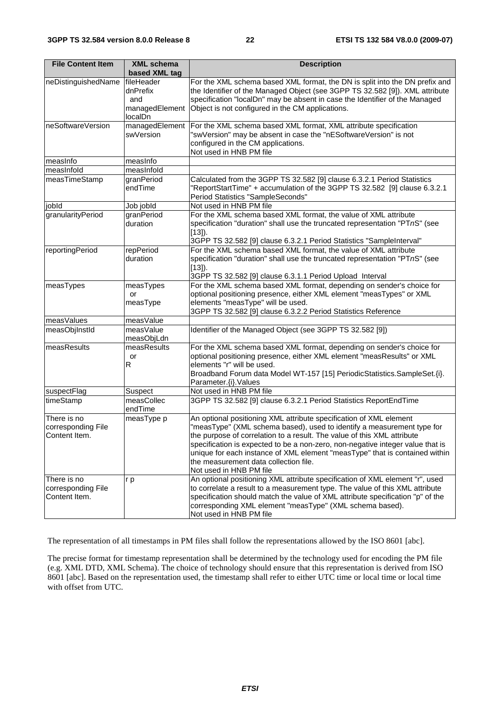| <b>File Content Item</b>                           | <b>XML schema</b><br>based XML tag                         | <b>Description</b>                                                                                                                                                                                                                                                                                                                                                                                                                                           |
|----------------------------------------------------|------------------------------------------------------------|--------------------------------------------------------------------------------------------------------------------------------------------------------------------------------------------------------------------------------------------------------------------------------------------------------------------------------------------------------------------------------------------------------------------------------------------------------------|
| neDistinguishedName                                | fileHeader<br>dnPrefix<br>and<br>managedElement<br>localDn | For the XML schema based XML format, the DN is split into the DN prefix and<br>the Identifier of the Managed Object (see 3GPP TS 32.582 [9]). XML attribute<br>specification "localDn" may be absent in case the Identifier of the Managed<br>Object is not configured in the CM applications.                                                                                                                                                               |
| neSoftwareVersion                                  | managedElement<br>swVersion                                | For the XML schema based XML format, XML attribute specification<br>"swVersion" may be absent in case the "nESoftwareVersion" is not<br>configured in the CM applications.<br>Not used in HNB PM file                                                                                                                                                                                                                                                        |
| measInfo                                           | measInfo                                                   |                                                                                                                                                                                                                                                                                                                                                                                                                                                              |
| measInfold                                         | measInfold                                                 |                                                                                                                                                                                                                                                                                                                                                                                                                                                              |
| measTimeStamp                                      | granPeriod<br>endTime                                      | Calculated from the 3GPP TS 32.582 [9] clause 6.3.2.1 Period Statistics<br>"ReportStartTime" + accumulation of the 3GPP TS 32.582 [9] clause 6.3.2.1<br>Period Statistics "SampleSeconds"                                                                                                                                                                                                                                                                    |
| jobld                                              | Job jobld                                                  | Not used in HNB PM file                                                                                                                                                                                                                                                                                                                                                                                                                                      |
| granularityPeriod                                  | granPeriod<br>duration                                     | For the XML schema based XML format, the value of XML attribute<br>specification "duration" shall use the truncated representation "PTnS" (see<br>$[13]$ ).<br>3GPP TS 32.582 [9] clause 6.3.2.1 Period Statistics "SampleInterval"                                                                                                                                                                                                                          |
| reportingPeriod                                    | repPeriod<br>duration                                      | For the XML schema based XML format, the value of XML attribute<br>specification "duration" shall use the truncated representation "PTnS" (see<br>$[13]$ ).<br>3GPP TS 32.582 [9] clause 6.3.1.1 Period Upload Interval                                                                                                                                                                                                                                      |
| measTypes                                          | measTypes<br>or<br>measType                                | For the XML schema based XML format, depending on sender's choice for<br>optional positioning presence, either XML element "measTypes" or XML<br>elements "measType" will be used.<br>3GPP TS 32.582 [9] clause 6.3.2.2 Period Statistics Reference                                                                                                                                                                                                          |
| measValues                                         | measValue                                                  |                                                                                                                                                                                                                                                                                                                                                                                                                                                              |
| measObjInstId                                      | measValue<br>measObjLdn                                    | Identifier of the Managed Object (see 3GPP TS 32.582 [9])                                                                                                                                                                                                                                                                                                                                                                                                    |
| measResults                                        | measResults<br>or<br>R                                     | For the XML schema based XML format, depending on sender's choice for<br>optional positioning presence, either XML element "measResults" or XML<br>elements "r" will be used.<br>Broadband Forum data Model WT-157 [15] PeriodicStatistics.SampleSet.{i}.<br>Parameter.{i}.Values                                                                                                                                                                            |
| suspectFlag                                        | Suspect                                                    | Not used in HNB PM file                                                                                                                                                                                                                                                                                                                                                                                                                                      |
| timeStamp                                          | measCollec<br>endTime                                      | 3GPP TS 32.582 [9] clause 6.3.2.1 Period Statistics ReportEndTime                                                                                                                                                                                                                                                                                                                                                                                            |
| There is no<br>corresponding File<br>Content Item. | measType p                                                 | An optional positioning XML attribute specification of XML element<br>"measType" (XML schema based), used to identify a measurement type for<br>the purpose of correlation to a result. The value of this XML attribute<br>specification is expected to be a non-zero, non-negative integer value that is<br>unique for each instance of XML element "measType" that is contained within<br>the measurement data collection file.<br>Not used in HNB PM file |
| There is no<br>corresponding File<br>Content Item. | r p                                                        | An optional positioning XML attribute specification of XML element "r", used<br>to correlate a result to a measurement type. The value of this XML attribute<br>specification should match the value of XML attribute specification "p" of the<br>corresponding XML element "measType" (XML schema based).<br>Not used in HNB PM file                                                                                                                        |

The representation of all timestamps in PM files shall follow the representations allowed by the ISO 8601 [abc].

The precise format for timestamp representation shall be determined by the technology used for encoding the PM file (e.g. XML DTD, XML Schema). The choice of technology should ensure that this representation is derived from ISO 8601 [abc]. Based on the representation used, the timestamp shall refer to either UTC time or local time or local time with offset from UTC.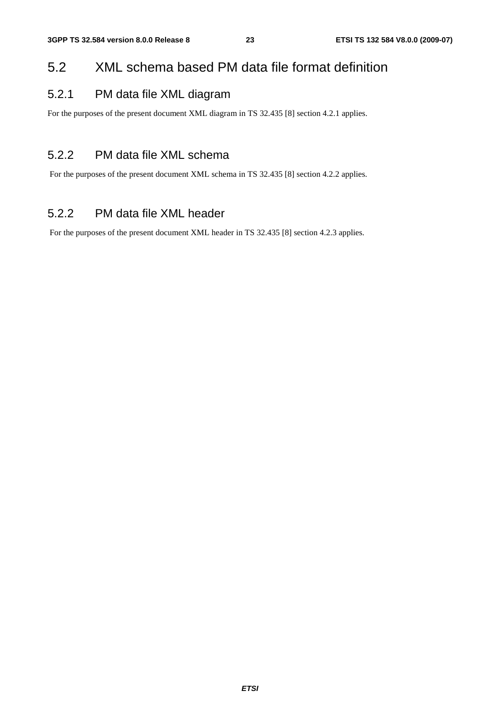### 5.2 XML schema based PM data file format definition

### 5.2.1 PM data file XML diagram

For the purposes of the present document XML diagram in TS 32.435 [8] section 4.2.1 applies.

### 5.2.2 PM data file XML schema

For the purposes of the present document XML schema in TS 32.435 [8] section 4.2.2 applies.

### 5.2.2 PM data file XML header

For the purposes of the present document XML header in TS 32.435 [8] section 4.2.3 applies.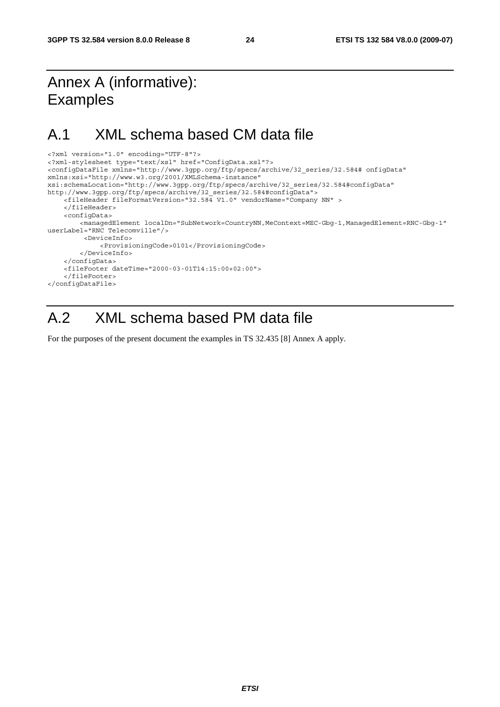## Annex A (informative): Examples

### A.1 XML schema based CM data file

```
<?xml version="1.0" encoding="UTF-8"?> 
<?xml-stylesheet type="text/xsl" href="ConfigData.xsl"?> 
<configDataFile xmlns="http://www.3gpp.org/ftp/specs/archive/32_series/32.584# onfigData" 
xmlns:xsi="http://www.w3.org/2001/XMLSchema-instance" 
xsi:schemaLocation="http://www.3gpp.org/ftp/specs/archive/32_series/32.584#configData" 
http://www.3gpp.org/ftp/specs/archive/32_series/32.584#configData"> 
     <fileHeader fileFormatVersion="32.584 V1.0" vendorName="Company NN" > 
     </fileHeader> 
     <configData> 
         <managedElement localDn="SubNetwork=CountryNN,MeContext=MEC-Gbg-1,ManagedElement=RNC-Gbg-1" 
userLabel="RNC Telecomville"/> 
          <DeviceInfo> 
              <ProvisioningCode>0101</ProvisioningCode> 
         </DeviceInfo> 
     </configData> 
     <fileFooter dateTime="2000-03-01T14:15:00+02:00"> 
     </fileFooter> 
</configDataFile>
```
## A.2 XML schema based PM data file

For the purposes of the present document the examples in TS 32.435 [8] Annex A apply.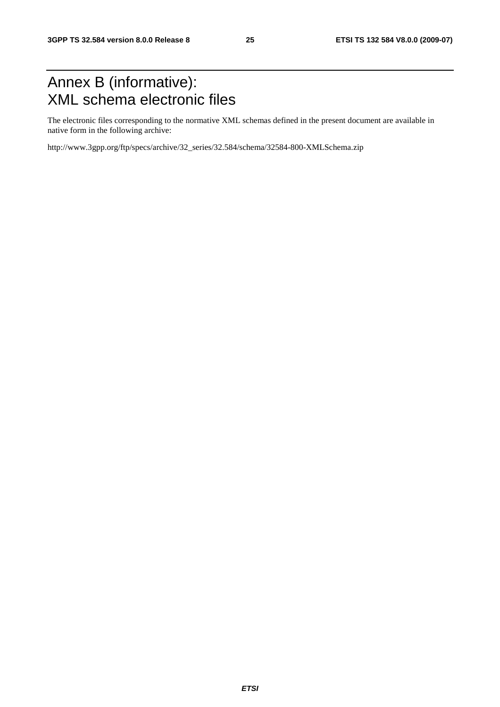## Annex B (informative): XML schema electronic files

The electronic files corresponding to the normative XML schemas defined in the present document are available in native form in the following archive:

http://www.3gpp.org/ftp/specs/archive/32\_series/32.584/schema/32584-800-XMLSchema.zip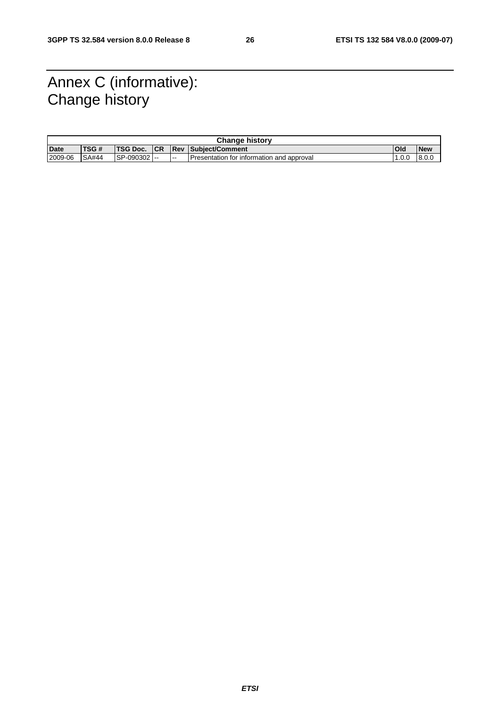## Annex C (informative): Change history

|         | <b>Change history</b> |                 |            |   |                                           |            |            |
|---------|-----------------------|-----------------|------------|---|-------------------------------------------|------------|------------|
| Date    | <b>TSG#</b>           | <b>TSG Doc.</b> | <b>ICR</b> |   | <b>Rev Subiect/Comment</b>                | <b>Old</b> | <b>New</b> |
| 2009-06 | <b>SA#44</b>          | ISP-090302 --   |            | . | Presentation for information and approval | .0.0       | 8.0.0      |